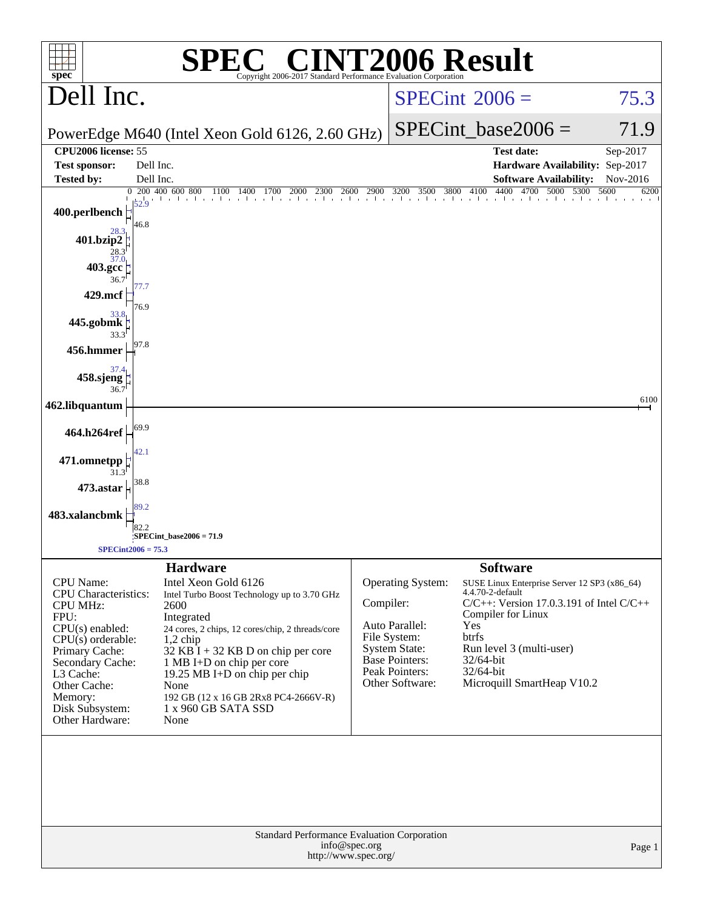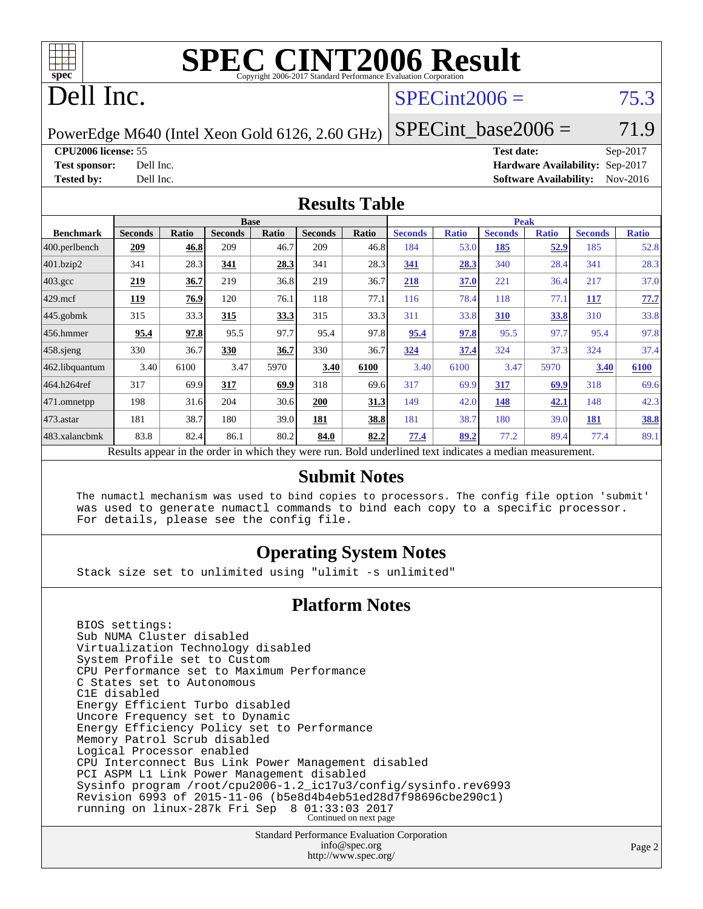

# **[SPEC CINT2006 Result](http://www.spec.org/auto/cpu2006/Docs/result-fields.html#SPECCINT2006Result)**

# Dell Inc.

# $SPECint2006 = 75.3$  $SPECint2006 = 75.3$

PowerEdge M640 (Intel Xeon Gold 6126, 2.60 GHz)

**[CPU2006 license:](http://www.spec.org/auto/cpu2006/Docs/result-fields.html#CPU2006license)** 55 **[Test date:](http://www.spec.org/auto/cpu2006/Docs/result-fields.html#Testdate)** Sep-2017

 $SPECTnt\_base2006 = 71.9$ 

**[Test sponsor:](http://www.spec.org/auto/cpu2006/Docs/result-fields.html#Testsponsor)** Dell Inc. **[Hardware Availability:](http://www.spec.org/auto/cpu2006/Docs/result-fields.html#HardwareAvailability)** Sep-2017 **[Tested by:](http://www.spec.org/auto/cpu2006/Docs/result-fields.html#Testedby)** Dell Inc. **[Software Availability:](http://www.spec.org/auto/cpu2006/Docs/result-fields.html#SoftwareAvailability)** Nov-2016

### **[Results Table](http://www.spec.org/auto/cpu2006/Docs/result-fields.html#ResultsTable)**

|                                                                                                          | <b>Base</b>    |              |                |       | <b>Peak</b>    |             |                |              |                |              |                |              |
|----------------------------------------------------------------------------------------------------------|----------------|--------------|----------------|-------|----------------|-------------|----------------|--------------|----------------|--------------|----------------|--------------|
| <b>Benchmark</b>                                                                                         | <b>Seconds</b> | <b>Ratio</b> | <b>Seconds</b> | Ratio | <b>Seconds</b> | Ratio       | <b>Seconds</b> | <b>Ratio</b> | <b>Seconds</b> | <b>Ratio</b> | <b>Seconds</b> | <b>Ratio</b> |
| 400.perlbench                                                                                            | 209            | 46.8         | 209            | 46.7  | 209            | 46.8        | 184            | 53.0         | 185            | 52.9         | 185            | 52.8         |
| 401.bzip2                                                                                                | 341            | 28.3         | 341            | 28.3  | 341            | 28.3        | 341            | 28.3         | 340            | 28.4         | 341            | 28.3         |
| $403.\text{gcc}$                                                                                         | 219            | 36.7         | 219            | 36.8  | 219            | 36.7        | 218            | 37.0         | 221            | 36.4         | 217            | 37.0         |
| $429$ mcf                                                                                                | 119            | 76.9         | 120            | 76.1  | 118            | 77.1        | 116            | 78.4         | 118            | 77.1         | 117            | 77.7         |
| $445$ .gobmk                                                                                             | 315            | 33.3         | 315            | 33.3  | 315            | 33.3        | 311            | 33.8         | 310            | <u>33.8</u>  | 310            | 33.8         |
| $456.$ hmmer                                                                                             | 95.4           | 97.8         | 95.5           | 97.7  | 95.4           | 97.8        | 95.4           | 97.8         | 95.5           | 97.7         | 95.4           | 97.8         |
| $458$ .sjeng                                                                                             | 330            | 36.7         | 330            | 36.7  | 330            | 36.7        | 324            | 37.4         | 324            | 37.3         | 324            | 37.4         |
| 462.libquantum                                                                                           | 3.40           | 6100         | 3.47           | 5970  | 3.40           | 6100        | 3.40           | 6100         | 3.47           | 5970         | 3.40           | 6100         |
| 464.h264ref                                                                                              | 317            | 69.9         | 317            | 69.9  | 318            | 69.6        | 317            | 69.9         | 317            | 69.9         | 318            | 69.6         |
| $ 471$ .omnetpp                                                                                          | 198            | 31.6         | 204            | 30.6  | 200            | <u>31.3</u> | 149            | 42.0         | 148            | 42.1         | 148            | 42.3         |
| $473$ . astar                                                                                            | 181            | 38.7         | 180            | 39.0  | 181            | 38.8        | 181            | 38.7         | 180            | 39.0         | 181            | 38.8         |
| 483.xalancbmk                                                                                            | 83.8           | 82.4         | 86.1           | 80.2  | 84.0           | 82.2        | 77.4           | 89.2         | 77.2           | 89.4         | 77.4           | 89.1         |
| Results appear in the order in which they were run. Bold underlined text indicates a median measurement. |                |              |                |       |                |             |                |              |                |              |                |              |

#### **[Submit Notes](http://www.spec.org/auto/cpu2006/Docs/result-fields.html#SubmitNotes)**

 The numactl mechanism was used to bind copies to processors. The config file option 'submit' was used to generate numactl commands to bind each copy to a specific processor. For details, please see the config file.

### **[Operating System Notes](http://www.spec.org/auto/cpu2006/Docs/result-fields.html#OperatingSystemNotes)**

Stack size set to unlimited using "ulimit -s unlimited"

### **[Platform Notes](http://www.spec.org/auto/cpu2006/Docs/result-fields.html#PlatformNotes)**

 BIOS settings: Sub NUMA Cluster disabled Virtualization Technology disabled System Profile set to Custom CPU Performance set to Maximum Performance C States set to Autonomous C1E disabled Energy Efficient Turbo disabled Uncore Frequency set to Dynamic Energy Efficiency Policy set to Performance Memory Patrol Scrub disabled Logical Processor enabled CPU Interconnect Bus Link Power Management disabled PCI ASPM L1 Link Power Management disabled Sysinfo program /root/cpu2006-1.2\_ic17u3/config/sysinfo.rev6993 Revision 6993 of 2015-11-06 (b5e8d4b4eb51ed28d7f98696cbe290c1) running on linux-287k Fri Sep 8 01:33:03 2017 Continued on next page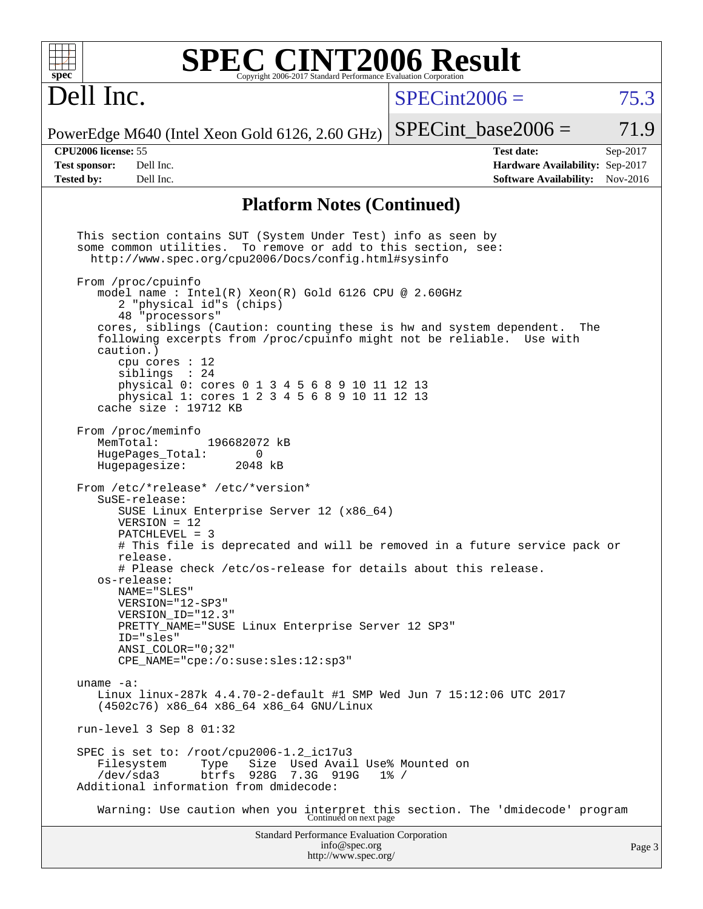| spec <sup>®</sup>                                                       |                                                                                                                                                                                                                                                                                                                                                                                                                                                                                                                                                                                                                                                                                                                                                                                                                                                                                                                                                                                                                                                                                                                                                                                                                                                                                                                                                                                                                                                                                         | Copyright 2006-2017 Standard Performance Evaluation Corporation |                                       | <b>SPEC CINT2006 Result</b>                |                                                                                       |                        |
|-------------------------------------------------------------------------|-----------------------------------------------------------------------------------------------------------------------------------------------------------------------------------------------------------------------------------------------------------------------------------------------------------------------------------------------------------------------------------------------------------------------------------------------------------------------------------------------------------------------------------------------------------------------------------------------------------------------------------------------------------------------------------------------------------------------------------------------------------------------------------------------------------------------------------------------------------------------------------------------------------------------------------------------------------------------------------------------------------------------------------------------------------------------------------------------------------------------------------------------------------------------------------------------------------------------------------------------------------------------------------------------------------------------------------------------------------------------------------------------------------------------------------------------------------------------------------------|-----------------------------------------------------------------|---------------------------------------|--------------------------------------------|---------------------------------------------------------------------------------------|------------------------|
| Dell Inc.                                                               |                                                                                                                                                                                                                                                                                                                                                                                                                                                                                                                                                                                                                                                                                                                                                                                                                                                                                                                                                                                                                                                                                                                                                                                                                                                                                                                                                                                                                                                                                         |                                                                 |                                       | $SPECint2006 =$                            |                                                                                       | 75.3                   |
|                                                                         | PowerEdge M640 (Intel Xeon Gold 6126, 2.60 GHz)                                                                                                                                                                                                                                                                                                                                                                                                                                                                                                                                                                                                                                                                                                                                                                                                                                                                                                                                                                                                                                                                                                                                                                                                                                                                                                                                                                                                                                         |                                                                 |                                       | $SPECint base2006 =$                       |                                                                                       | 71.9                   |
| <b>CPU2006</b> license: 55<br><b>Test sponsor:</b><br><b>Tested by:</b> | Dell Inc.<br>Dell Inc.                                                                                                                                                                                                                                                                                                                                                                                                                                                                                                                                                                                                                                                                                                                                                                                                                                                                                                                                                                                                                                                                                                                                                                                                                                                                                                                                                                                                                                                                  |                                                                 |                                       |                                            | <b>Test date:</b><br>Hardware Availability: Sep-2017<br><b>Software Availability:</b> | Sep-2017<br>$Nov-2016$ |
|                                                                         |                                                                                                                                                                                                                                                                                                                                                                                                                                                                                                                                                                                                                                                                                                                                                                                                                                                                                                                                                                                                                                                                                                                                                                                                                                                                                                                                                                                                                                                                                         | <b>Platform Notes (Continued)</b>                               |                                       |                                            |                                                                                       |                        |
| caution.)<br>MemTotal:<br>uname $-a$ :<br>/dev/sda3                     | This section contains SUT (System Under Test) info as seen by<br>some common utilities. To remove or add to this section, see:<br>http://www.spec.org/cpu2006/Docs/config.html#sysinfo<br>From /proc/cpuinfo<br>model name : Intel(R) $Xeon(R)$ Gold 6126 CPU @ 2.60GHz<br>2 "physical id"s (chips)<br>48 "processors"<br>cores, siblings (Caution: counting these is hw and system dependent.<br>following excerpts from /proc/cpuinfo might not be reliable. Use with<br>cpu cores $: 12$<br>siblings : 24<br>physical 0: cores 0 1 3 4 5 6 8 9 10 11 12 13<br>physical 1: cores 1 2 3 4 5 6 8 9 10 11 12 13<br>cache size : $19712$ KB<br>From /proc/meminfo<br>196682072 kB<br>HugePages_Total:<br>Hugepagesize:<br>From /etc/*release* /etc/*version*<br>SuSE-release:<br>SUSE Linux Enterprise Server 12 (x86_64)<br>$VERSION = 12$<br>$PATCHLEVEL = 3$<br># This file is deprecated and will be removed in a future service pack or<br>release.<br># Please check /etc/os-release for details about this release.<br>os-release:<br>NAME="SLES"<br>VERSION="12-SP3"<br>VERSION_ID="12.3"<br>PRETTY NAME="SUSE Linux Enterprise Server 12 SP3"<br>ID="sles"<br>ANSI COLOR="0;32"<br>CPE NAME="cpe:/o:suse:sles:12:sp3"<br>Linux linux-287k 4.4.70-2-default #1 SMP Wed Jun 7 15:12:06 UTC 2017<br>(4502c76) x86_64 x86_64 x86_64 GNU/Linux<br>run-level 3 Sep 8 01:32<br>SPEC is set to: /root/cpu2006-1.2_ic17u3<br>Filesystem<br>Type<br>Additional information from dmidecode: | 0<br>2048 kB<br>btrfs 928G 7.3G 919G                            |                                       | Size Used Avail Use% Mounted on<br>$1\%$ / |                                                                                       | The                    |
|                                                                         | Warning: Use caution when you interpret this section. The 'dmidecode' program Continued on next page                                                                                                                                                                                                                                                                                                                                                                                                                                                                                                                                                                                                                                                                                                                                                                                                                                                                                                                                                                                                                                                                                                                                                                                                                                                                                                                                                                                    |                                                                 |                                       |                                            |                                                                                       |                        |
|                                                                         |                                                                                                                                                                                                                                                                                                                                                                                                                                                                                                                                                                                                                                                                                                                                                                                                                                                                                                                                                                                                                                                                                                                                                                                                                                                                                                                                                                                                                                                                                         | Standard Performance Evaluation Corporation                     | info@spec.org<br>http://www.spec.org/ |                                            |                                                                                       | Page:                  |

3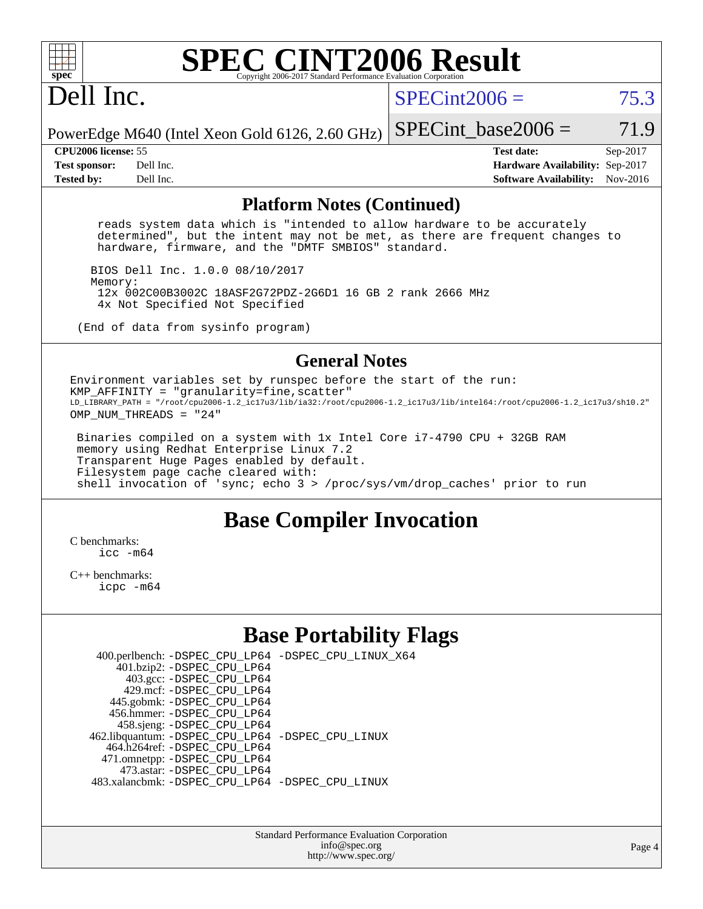

# **[SPEC CINT2006 Result](http://www.spec.org/auto/cpu2006/Docs/result-fields.html#SPECCINT2006Result)**

# Dell Inc.

 $SPECint2006 = 75.3$  $SPECint2006 = 75.3$ 

PowerEdge M640 (Intel Xeon Gold 6126, 2.60 GHz) SPECint base2006 =  $71.9$ 

**[CPU2006 license:](http://www.spec.org/auto/cpu2006/Docs/result-fields.html#CPU2006license)** 55 **[Test date:](http://www.spec.org/auto/cpu2006/Docs/result-fields.html#Testdate)** Sep-2017 **[Test sponsor:](http://www.spec.org/auto/cpu2006/Docs/result-fields.html#Testsponsor)** Dell Inc. **[Hardware Availability:](http://www.spec.org/auto/cpu2006/Docs/result-fields.html#HardwareAvailability)** Sep-2017 **[Tested by:](http://www.spec.org/auto/cpu2006/Docs/result-fields.html#Testedby)** Dell Inc. **[Software Availability:](http://www.spec.org/auto/cpu2006/Docs/result-fields.html#SoftwareAvailability)** Nov-2016

#### **[Platform Notes \(Continued\)](http://www.spec.org/auto/cpu2006/Docs/result-fields.html#PlatformNotes)**

 reads system data which is "intended to allow hardware to be accurately determined", but the intent may not be met, as there are frequent changes to hardware, firmware, and the "DMTF SMBIOS" standard.

 BIOS Dell Inc. 1.0.0 08/10/2017 Memory: 12x 002C00B3002C 18ASF2G72PDZ-2G6D1 16 GB 2 rank 2666 MHz 4x Not Specified Not Specified

(End of data from sysinfo program)

### **[General Notes](http://www.spec.org/auto/cpu2006/Docs/result-fields.html#GeneralNotes)**

Environment variables set by runspec before the start of the run:  $KMP_AFFINITY = "granularity=fine, scatter"$ LD\_LIBRARY\_PATH = "/root/cpu2006-1.2\_ic17u3/lib/ia32:/root/cpu2006-1.2\_ic17u3/lib/intel64:/root/cpu2006-1.2\_ic17u3/sh10.2" OMP NUM THREADS = "24"

 Binaries compiled on a system with 1x Intel Core i7-4790 CPU + 32GB RAM memory using Redhat Enterprise Linux 7.2 Transparent Huge Pages enabled by default. Filesystem page cache cleared with: shell invocation of 'sync; echo 3 > /proc/sys/vm/drop\_caches' prior to run

## **[Base Compiler Invocation](http://www.spec.org/auto/cpu2006/Docs/result-fields.html#BaseCompilerInvocation)**

[C benchmarks](http://www.spec.org/auto/cpu2006/Docs/result-fields.html#Cbenchmarks):  $inc - m64$ 

[C++ benchmarks:](http://www.spec.org/auto/cpu2006/Docs/result-fields.html#CXXbenchmarks) [icpc -m64](http://www.spec.org/cpu2006/results/res2017q4/cpu2006-20170918-49877.flags.html#user_CXXbase_intel_icpc_64bit_fc66a5337ce925472a5c54ad6a0de310)

# **[Base Portability Flags](http://www.spec.org/auto/cpu2006/Docs/result-fields.html#BasePortabilityFlags)**

| 400.perlbench: -DSPEC_CPU_LP64 -DSPEC_CPU_LINUX_X64 |  |
|-----------------------------------------------------|--|
| 401.bzip2: -DSPEC_CPU_LP64                          |  |
| 403.gcc: -DSPEC_CPU_LP64                            |  |
| 429.mcf: -DSPEC CPU LP64                            |  |
| 445.gobmk: -DSPEC_CPU_LP64                          |  |
| 456.hmmer: - DSPEC CPU LP64                         |  |
| 458.sjeng: -DSPEC_CPU_LP64                          |  |
| 462.libquantum: -DSPEC_CPU_LP64 -DSPEC_CPU_LINUX    |  |
| 464.h264ref: -DSPEC CPU LP64                        |  |
| 471.omnetpp: -DSPEC_CPU_LP64                        |  |
| 473.astar: -DSPEC CPU LP64                          |  |
| 483.xalancbmk: - DSPEC CPU LP64 - DSPEC CPU LINUX   |  |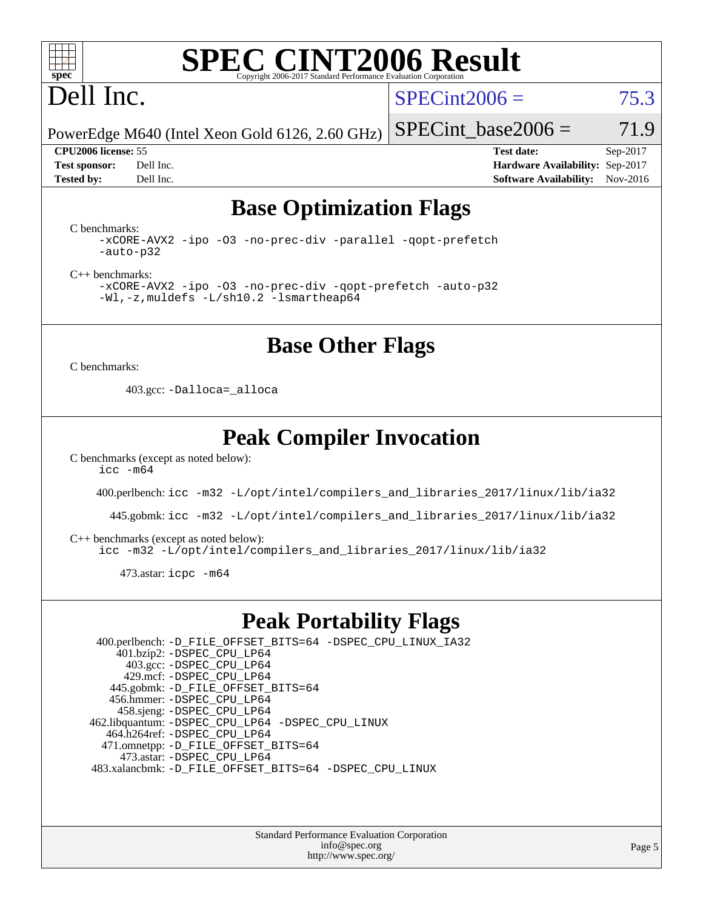

### **[SPEC CINT2006 Result](http://www.spec.org/auto/cpu2006/Docs/result-fields.html#SPECCINT2006Result)** Copyright 2006-2017 Standard Performance Evalua

# Dell Inc.

 $SPECint2006 = 75.3$  $SPECint2006 = 75.3$ 

PowerEdge M640 (Intel Xeon Gold 6126, 2.60 GHz)

**[CPU2006 license:](http://www.spec.org/auto/cpu2006/Docs/result-fields.html#CPU2006license)** 55 **[Test date:](http://www.spec.org/auto/cpu2006/Docs/result-fields.html#Testdate)** Sep-2017 **[Test sponsor:](http://www.spec.org/auto/cpu2006/Docs/result-fields.html#Testsponsor)** Dell Inc. **[Hardware Availability:](http://www.spec.org/auto/cpu2006/Docs/result-fields.html#HardwareAvailability)** Sep-2017 **[Tested by:](http://www.spec.org/auto/cpu2006/Docs/result-fields.html#Testedby)** Dell Inc. **[Software Availability:](http://www.spec.org/auto/cpu2006/Docs/result-fields.html#SoftwareAvailability)** Nov-2016

SPECint base2006 =  $71.9$ 

# **[Base Optimization Flags](http://www.spec.org/auto/cpu2006/Docs/result-fields.html#BaseOptimizationFlags)**

[C benchmarks](http://www.spec.org/auto/cpu2006/Docs/result-fields.html#Cbenchmarks):

[-xCORE-AVX2](http://www.spec.org/cpu2006/results/res2017q4/cpu2006-20170918-49877.flags.html#user_CCbase_f-xCORE-AVX2) [-ipo](http://www.spec.org/cpu2006/results/res2017q4/cpu2006-20170918-49877.flags.html#user_CCbase_f-ipo) [-O3](http://www.spec.org/cpu2006/results/res2017q4/cpu2006-20170918-49877.flags.html#user_CCbase_f-O3) [-no-prec-div](http://www.spec.org/cpu2006/results/res2017q4/cpu2006-20170918-49877.flags.html#user_CCbase_f-no-prec-div) [-parallel](http://www.spec.org/cpu2006/results/res2017q4/cpu2006-20170918-49877.flags.html#user_CCbase_f-parallel) [-qopt-prefetch](http://www.spec.org/cpu2006/results/res2017q4/cpu2006-20170918-49877.flags.html#user_CCbase_f-qopt-prefetch) [-auto-p32](http://www.spec.org/cpu2006/results/res2017q4/cpu2006-20170918-49877.flags.html#user_CCbase_f-auto-p32)

[C++ benchmarks:](http://www.spec.org/auto/cpu2006/Docs/result-fields.html#CXXbenchmarks)

[-xCORE-AVX2](http://www.spec.org/cpu2006/results/res2017q4/cpu2006-20170918-49877.flags.html#user_CXXbase_f-xCORE-AVX2) [-ipo](http://www.spec.org/cpu2006/results/res2017q4/cpu2006-20170918-49877.flags.html#user_CXXbase_f-ipo) [-O3](http://www.spec.org/cpu2006/results/res2017q4/cpu2006-20170918-49877.flags.html#user_CXXbase_f-O3) [-no-prec-div](http://www.spec.org/cpu2006/results/res2017q4/cpu2006-20170918-49877.flags.html#user_CXXbase_f-no-prec-div) [-qopt-prefetch](http://www.spec.org/cpu2006/results/res2017q4/cpu2006-20170918-49877.flags.html#user_CXXbase_f-qopt-prefetch) [-auto-p32](http://www.spec.org/cpu2006/results/res2017q4/cpu2006-20170918-49877.flags.html#user_CXXbase_f-auto-p32) [-Wl,-z,muldefs](http://www.spec.org/cpu2006/results/res2017q4/cpu2006-20170918-49877.flags.html#user_CXXbase_link_force_multiple1_74079c344b956b9658436fd1b6dd3a8a) [-L/sh10.2 -lsmartheap64](http://www.spec.org/cpu2006/results/res2017q4/cpu2006-20170918-49877.flags.html#user_CXXbase_SmartHeap64_63911d860fc08c15fa1d5bf319b9d8d5)

## **[Base Other Flags](http://www.spec.org/auto/cpu2006/Docs/result-fields.html#BaseOtherFlags)**

[C benchmarks](http://www.spec.org/auto/cpu2006/Docs/result-fields.html#Cbenchmarks):

403.gcc: [-Dalloca=\\_alloca](http://www.spec.org/cpu2006/results/res2017q4/cpu2006-20170918-49877.flags.html#b403.gcc_baseEXTRA_CFLAGS_Dalloca_be3056838c12de2578596ca5467af7f3)

# **[Peak Compiler Invocation](http://www.spec.org/auto/cpu2006/Docs/result-fields.html#PeakCompilerInvocation)**

[C benchmarks \(except as noted below\)](http://www.spec.org/auto/cpu2006/Docs/result-fields.html#Cbenchmarksexceptasnotedbelow): [icc -m64](http://www.spec.org/cpu2006/results/res2017q4/cpu2006-20170918-49877.flags.html#user_CCpeak_intel_icc_64bit_bda6cc9af1fdbb0edc3795bac97ada53)

400.perlbench: [icc -m32 -L/opt/intel/compilers\\_and\\_libraries\\_2017/linux/lib/ia32](http://www.spec.org/cpu2006/results/res2017q4/cpu2006-20170918-49877.flags.html#user_peakCCLD400_perlbench_intel_icc_c29f3ff5a7ed067b11e4ec10a03f03ae)

445.gobmk: [icc -m32 -L/opt/intel/compilers\\_and\\_libraries\\_2017/linux/lib/ia32](http://www.spec.org/cpu2006/results/res2017q4/cpu2006-20170918-49877.flags.html#user_peakCCLD445_gobmk_intel_icc_c29f3ff5a7ed067b11e4ec10a03f03ae)

[C++ benchmarks \(except as noted below\):](http://www.spec.org/auto/cpu2006/Docs/result-fields.html#CXXbenchmarksexceptasnotedbelow)

[icc -m32 -L/opt/intel/compilers\\_and\\_libraries\\_2017/linux/lib/ia32](http://www.spec.org/cpu2006/results/res2017q4/cpu2006-20170918-49877.flags.html#user_CXXpeak_intel_icc_c29f3ff5a7ed067b11e4ec10a03f03ae)

473.astar: [icpc -m64](http://www.spec.org/cpu2006/results/res2017q4/cpu2006-20170918-49877.flags.html#user_peakCXXLD473_astar_intel_icpc_64bit_fc66a5337ce925472a5c54ad6a0de310)

## **[Peak Portability Flags](http://www.spec.org/auto/cpu2006/Docs/result-fields.html#PeakPortabilityFlags)**

 400.perlbench: [-D\\_FILE\\_OFFSET\\_BITS=64](http://www.spec.org/cpu2006/results/res2017q4/cpu2006-20170918-49877.flags.html#user_peakPORTABILITY400_perlbench_file_offset_bits_64_438cf9856305ebd76870a2c6dc2689ab) [-DSPEC\\_CPU\\_LINUX\\_IA32](http://www.spec.org/cpu2006/results/res2017q4/cpu2006-20170918-49877.flags.html#b400.perlbench_peakCPORTABILITY_DSPEC_CPU_LINUX_IA32) 401.bzip2: [-DSPEC\\_CPU\\_LP64](http://www.spec.org/cpu2006/results/res2017q4/cpu2006-20170918-49877.flags.html#suite_peakPORTABILITY401_bzip2_DSPEC_CPU_LP64) 403.gcc: [-DSPEC\\_CPU\\_LP64](http://www.spec.org/cpu2006/results/res2017q4/cpu2006-20170918-49877.flags.html#suite_peakPORTABILITY403_gcc_DSPEC_CPU_LP64) 429.mcf: [-DSPEC\\_CPU\\_LP64](http://www.spec.org/cpu2006/results/res2017q4/cpu2006-20170918-49877.flags.html#suite_peakPORTABILITY429_mcf_DSPEC_CPU_LP64) 445.gobmk: [-D\\_FILE\\_OFFSET\\_BITS=64](http://www.spec.org/cpu2006/results/res2017q4/cpu2006-20170918-49877.flags.html#user_peakPORTABILITY445_gobmk_file_offset_bits_64_438cf9856305ebd76870a2c6dc2689ab) 456.hmmer: [-DSPEC\\_CPU\\_LP64](http://www.spec.org/cpu2006/results/res2017q4/cpu2006-20170918-49877.flags.html#suite_peakPORTABILITY456_hmmer_DSPEC_CPU_LP64) 458.sjeng: [-DSPEC\\_CPU\\_LP64](http://www.spec.org/cpu2006/results/res2017q4/cpu2006-20170918-49877.flags.html#suite_peakPORTABILITY458_sjeng_DSPEC_CPU_LP64) 462.libquantum: [-DSPEC\\_CPU\\_LP64](http://www.spec.org/cpu2006/results/res2017q4/cpu2006-20170918-49877.flags.html#suite_peakPORTABILITY462_libquantum_DSPEC_CPU_LP64) [-DSPEC\\_CPU\\_LINUX](http://www.spec.org/cpu2006/results/res2017q4/cpu2006-20170918-49877.flags.html#b462.libquantum_peakCPORTABILITY_DSPEC_CPU_LINUX) 464.h264ref: [-DSPEC\\_CPU\\_LP64](http://www.spec.org/cpu2006/results/res2017q4/cpu2006-20170918-49877.flags.html#suite_peakPORTABILITY464_h264ref_DSPEC_CPU_LP64) 471.omnetpp: [-D\\_FILE\\_OFFSET\\_BITS=64](http://www.spec.org/cpu2006/results/res2017q4/cpu2006-20170918-49877.flags.html#user_peakPORTABILITY471_omnetpp_file_offset_bits_64_438cf9856305ebd76870a2c6dc2689ab) 473.astar: [-DSPEC\\_CPU\\_LP64](http://www.spec.org/cpu2006/results/res2017q4/cpu2006-20170918-49877.flags.html#suite_peakPORTABILITY473_astar_DSPEC_CPU_LP64) 483.xalancbmk: [-D\\_FILE\\_OFFSET\\_BITS=64](http://www.spec.org/cpu2006/results/res2017q4/cpu2006-20170918-49877.flags.html#user_peakPORTABILITY483_xalancbmk_file_offset_bits_64_438cf9856305ebd76870a2c6dc2689ab) [-DSPEC\\_CPU\\_LINUX](http://www.spec.org/cpu2006/results/res2017q4/cpu2006-20170918-49877.flags.html#b483.xalancbmk_peakCXXPORTABILITY_DSPEC_CPU_LINUX)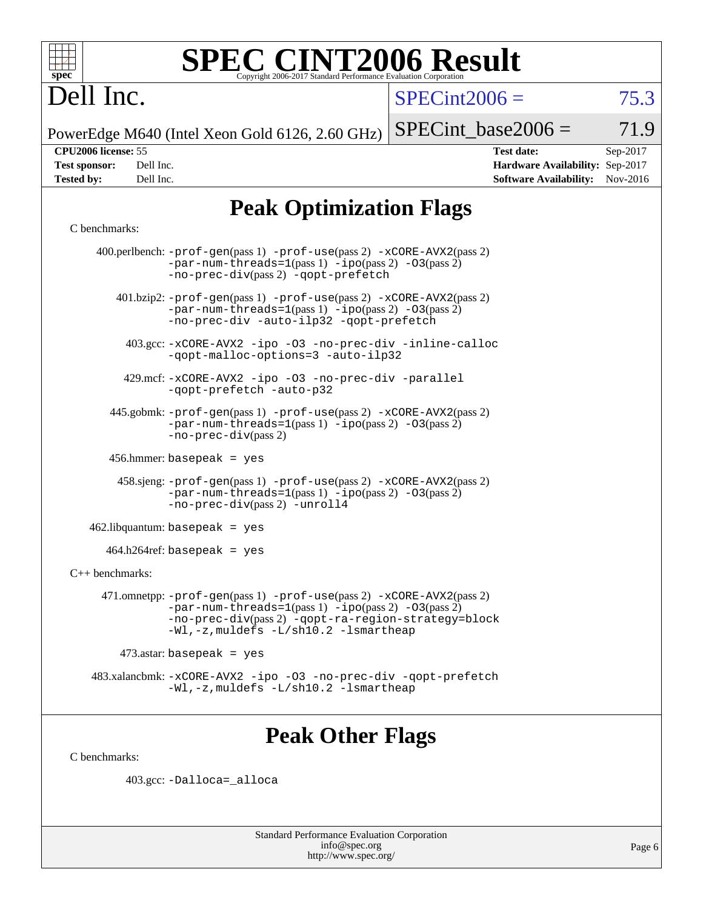

# **[SPEC CINT2006 Result](http://www.spec.org/auto/cpu2006/Docs/result-fields.html#SPECCINT2006Result)**

# Dell Inc.

 $SPECTnt2006 = 75.3$ 

PowerEdge M640 (Intel Xeon Gold 6126, 2.60 GHz)

 $SPECTnt\_base2006 = 71.9$ 

| Test sponsor:     | Dell Inc. |
|-------------------|-----------|
| <b>Tested by:</b> | Dell Inc. |

**[CPU2006 license:](http://www.spec.org/auto/cpu2006/Docs/result-fields.html#CPU2006license)** 55 **[Test date:](http://www.spec.org/auto/cpu2006/Docs/result-fields.html#Testdate)** Sep-2017 **[Hardware Availability:](http://www.spec.org/auto/cpu2006/Docs/result-fields.html#HardwareAvailability)** Sep-2017 **[Software Availability:](http://www.spec.org/auto/cpu2006/Docs/result-fields.html#SoftwareAvailability)** Nov-2016

# **[Peak Optimization Flags](http://www.spec.org/auto/cpu2006/Docs/result-fields.html#PeakOptimizationFlags)**

#### [C benchmarks](http://www.spec.org/auto/cpu2006/Docs/result-fields.html#Cbenchmarks):

|                                        | 400.perlbench: $-prof-gen(pass 1)$ $-prof-use(pass 2)$ $-xCORE-AVX2(pass 2)$<br>$-par-num-threads=1(pass 1) -ipo(pass 2) -03(pass 2)$<br>-no-prec-div(pass 2) -qopt-prefetch                                                                           |  |  |  |  |  |
|----------------------------------------|--------------------------------------------------------------------------------------------------------------------------------------------------------------------------------------------------------------------------------------------------------|--|--|--|--|--|
|                                        | $401 \text{.}$ bzip2: -prof-gen(pass 1) -prof-use(pass 2) -xCORE-AVX2(pass 2)<br>$-par-num-threads=1(pass 1) -ipo(pass 2) -03(pass 2)$<br>-no-prec-div -auto-ilp32 -qopt-prefetch                                                                      |  |  |  |  |  |
|                                        | 403.gcc: -xCORE-AVX2 -ipo -03 -no-prec-div -inline-calloc<br>-qopt-malloc-options=3 -auto-ilp32                                                                                                                                                        |  |  |  |  |  |
|                                        | 429.mcf: -xCORE-AVX2 -ipo -03 -no-prec-div -parallel<br>-qopt-prefetch -auto-p32                                                                                                                                                                       |  |  |  |  |  |
|                                        | 445.gobmk: -prof-gen(pass 1) -prof-use(pass 2) -xCORE-AVX2(pass 2)<br>$-par-num-threads=1(pass 1) -ipo(pass 2) -03(pass 2)$<br>$-no-prec-div(pass 2)$                                                                                                  |  |  |  |  |  |
|                                        | $456.$ hmmer: basepeak = yes                                                                                                                                                                                                                           |  |  |  |  |  |
|                                        | $458 \text{.}$ sjeng: $-\text{prof-gen(pass 1)} - \text{prof-use(pass 2)} - \text{xCORE-AVX2(pass 2)}$<br>$-par-num-threads=1(pass 1) -ipo(pass 2) -03(pass 2)$<br>-no-prec-div(pass 2) -unroll4                                                       |  |  |  |  |  |
| $462$ .libquantum: basepeak = yes      |                                                                                                                                                                                                                                                        |  |  |  |  |  |
| $464.h264 \text{ref}$ : basepeak = yes |                                                                                                                                                                                                                                                        |  |  |  |  |  |
| $C_{++}$ benchmarks:                   |                                                                                                                                                                                                                                                        |  |  |  |  |  |
|                                        | 471.omnetpp: $-\text{prof-gen(pass 1)} - \text{prof-use(pass 2)} - \text{xCORE-AVX2(pass 2)}$<br>$-par-num-threads=1(pass 1) -ipo(pass 2) -03(pass 2)$<br>-no-prec-div(pass 2) -qopt-ra-region-strategy=block<br>-Wl,-z, muldefs -L/sh10.2 -lsmartheap |  |  |  |  |  |
|                                        | $473$ .astar: basepeak = yes                                                                                                                                                                                                                           |  |  |  |  |  |
|                                        | 483.xalancbmk: -xCORE-AVX2 -ipo -03 -no-prec-div -qopt-prefetch<br>$-Wl$ , $-z$ , muldefs $-L/\nabla L$ . 2 $-l$ smartheap                                                                                                                             |  |  |  |  |  |

# **[Peak Other Flags](http://www.spec.org/auto/cpu2006/Docs/result-fields.html#PeakOtherFlags)**

[C benchmarks](http://www.spec.org/auto/cpu2006/Docs/result-fields.html#Cbenchmarks):

403.gcc: [-Dalloca=\\_alloca](http://www.spec.org/cpu2006/results/res2017q4/cpu2006-20170918-49877.flags.html#b403.gcc_peakEXTRA_CFLAGS_Dalloca_be3056838c12de2578596ca5467af7f3)